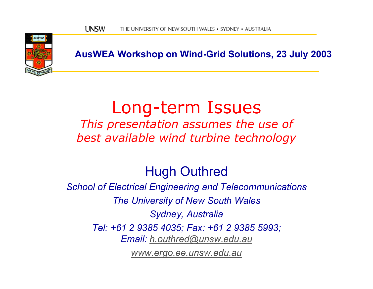

**AusWEA Workshop on Wind-Grid Solutions, 23 July 2003**

### Long-term Issues

*This presentation assumes the use of best available wind turbine technology*

#### Hugh Outhred

*School of Electrical Engineering and Telecommunications The University of New South Wales Sydney, Australia Tel: +61 2 9385 4035; Fax: +61 2 9385 5993; Email: [h.outhred@unsw.edu.au](mailto:h.outhred@unsw.edu.au)*

*[www.ergo.ee.unsw.edu.au](http://www.ergo.ee.unsw.edu.au/)*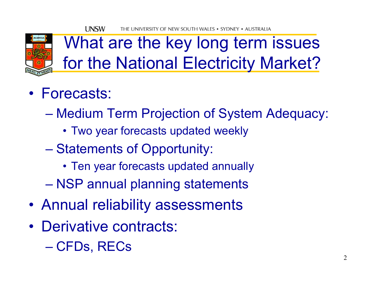

What are the key long term issues for the National Electricity Market?

- •Forecasts:
	- Medium Term Projection of System Adequacy:
		- Two year forecasts updated weekly
	- Statements of Opportunity:
		- Ten year forecasts updated annually
	- NSP annual planning statements
- •Annual reliability assessments
- •Derivative contracts:
	- CFDs, RECs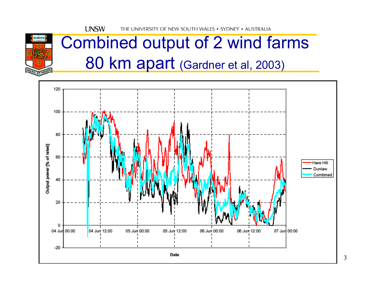

## Combined output of 2 wind farms 80 km apart (Gardner et al, 2003)

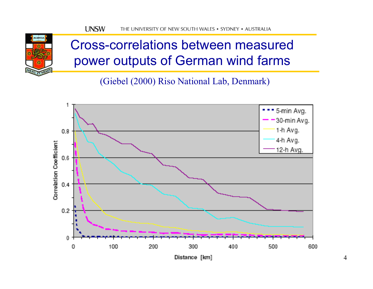

#### Cross-correlations between measured power outputs of German wind farms

(Giebel (2000) Riso National Lab, Denmark)

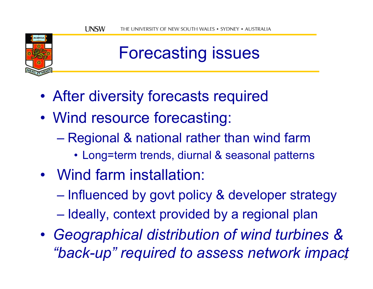

## Forecasting issues

- •After diversity forecasts required
- • Wind resource forecasting:
	- Regional & national rather than wind farm
		- Long=term trends, diurnal & seasonal patterns
- •Wind farm installation:
	- Influenced by govt policy & developer strategy
	- Ideally, context provided by a regional plan
- 5*"back-up" required to assess network impact*•*Geographical distribution of wind turbines &*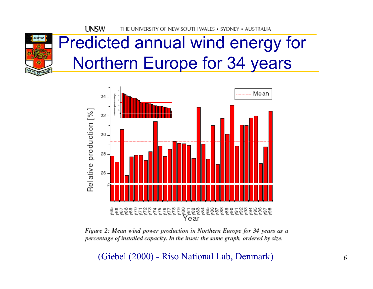**UNSW** THE UNIVERSITY OF NEW SOUTH WALES • SYDNEY • AUSTRALIA



### Predicted annual wind energy for Northern Europe for 34 years



Figure 2: Mean wind power production in Northern Europe for 34 years as a percentage of installed capacity. In the inset: the same graph, ordered by size.

(Giebel (2000) - Riso National Lab, Denmark)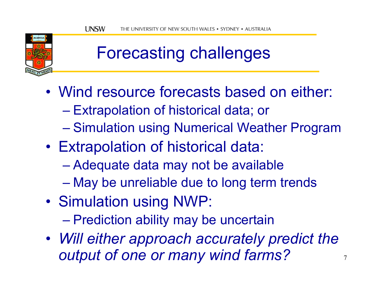

## Forecasting challenges

- Wind resource forecasts based on either:
	- Extrapolation of historical data; or
	- Simulation using Numerical Weather Program
- • Extrapolation of historical data:
	- Adequate data may not be available
	- May be unreliable due to long term trends
- • Simulation using NWP:
	- Prediction ability may be uncertain
- *Will either approach accurately predict the output of one or many wind farms?*

7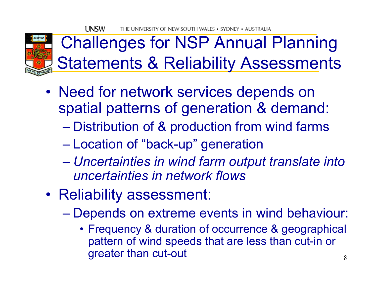

## Challenges for NSP Annual Planning **Statements & Reliability Assessments**

- •• Need for network services depends on spatial patterns of generation & demand:
	- Distribution of & production from wind farms
	- Location of "back-up" generation
	- $\mathcal{L}_{\mathcal{A}}$  , and the set of the set of the set of the set of the set of the set of the set of the set of the set of the set of the set of the set of the set of the set of the set of the set of the set of the set of th *Uncertainties in wind farm output translate into uncertainties in network flows*
- •• Reliability assessment:
	- Depends on extreme events in wind behaviour:
		- 8• Frequency & duration of occurrence & geographical pattern of wind speeds that are less than cut-in or greater than cut-out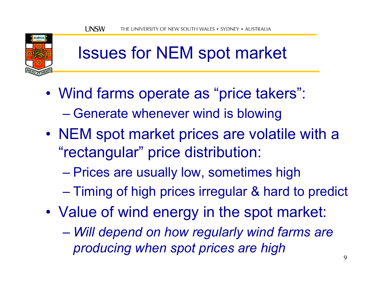

## Issues for NEM spot market

- • Wind farms operate as "price takers": – Generate whenever wind is blowing
- •• NEM spot market prices are volatile with a "rectangular" price distribution:
	- Prices are usually low, sometimes high
	- Timing of high prices irregular & hard to predict
- • Value of wind energy in the spot market:
	- *Will depend on how regularly wind farms are producing when spot prices are high*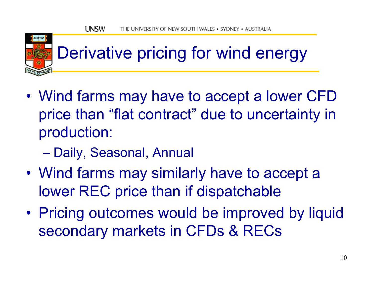

# Derivative pricing for wind energy

- • Wind farms may have to accept a lower CFD price than "flat contract" due to uncertainty in production:
	- Daily, Seasonal, Annual
- • Wind farms may similarly have to accept a lower REC price than if dispatchable
- • Pricing outcomes would be improved by liquid secondary markets in CFDs & RECs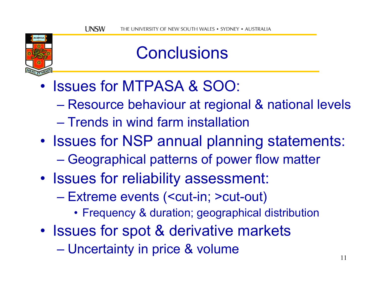

### **Conclusions**

- Issues for MTPASA & SOO:
	- $\mathcal{L}_{\mathcal{A}}$  , and the set of the set of the set of the set of the set of the set of the set of the set of the set of the set of the set of the set of the set of the set of the set of the set of the set of the set of th Resource behaviour at regional & national levels
	- Trends in wind farm installation
- •• Issues for NSP annual planning statements:  $\mathcal{L}_{\mathcal{A}}$ Geographical patterns of power flow matter
- •• Issues for reliability assessment:
	- Extreme events (<cut-in; >cut-out)
		- Frequency & duration; geographical distribution
- •• Issues for spot & derivative markets
	- Uncertainty in price & volume